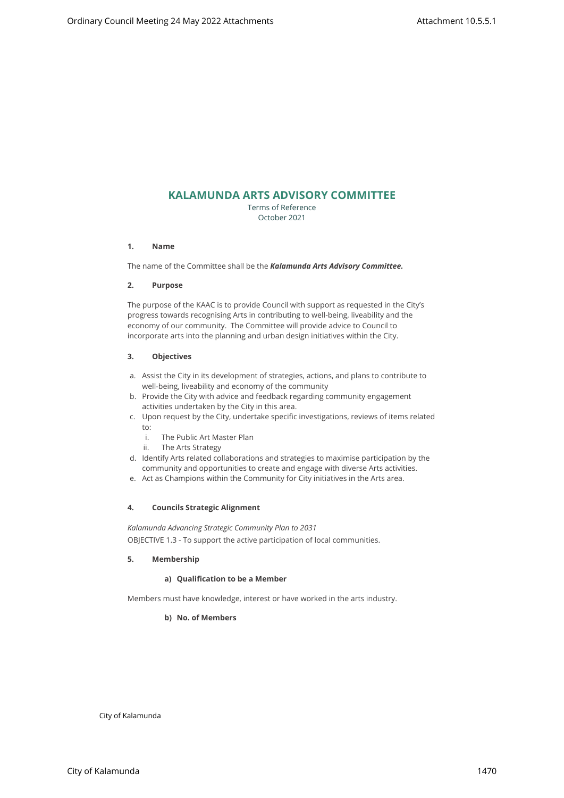# **KALAMUNDA ARTS ADVISORY COMMITTEE**

Terms of Reference October 2021

### **1. Name**

The name of the Committee shall be the *Kalamunda Arts Advisory Committee.*

### **2. Purpose**

The purpose of the KAAC is to provide Council with support as requested in the City's progress towards recognising Arts in contributing to well-being, liveability and the economy of our community. The Committee will provide advice to Council to incorporate arts into the planning and urban design initiatives within the City. City of City of City of City of City of City of City of City of City of City of City of City of City of City of City of City of City of City of City of City of City of City of City of City of City of City of City of City

## **3. Objectives**

- a. Assist the City in its development of strategies, actions, and plans to contribute to well-being, liveability and economy of the community
- b. Provide the City with advice and feedback regarding community engagement activities undertaken by the City in this area.
- c. Upon request by the City, undertake specific investigations, reviews of items related to:
	- i. The Public Art Master Plan
	- ii. The Arts Strategy
- d. Identify Arts related collaborations and strategies to maximise participation by the community and opportunities to create and engage with diverse Arts activities.
- e. Act as Champions within the Community for City initiatives in the Arts area.

## **4. Councils Strategic Alignment**

*Kalamunda Advancing Strategic Community Plan to 2031*  OBJECTIVE 1.3 - To support the active participation of local communities.

## **5. Membership**

## **a) Qualification to be a Member**

Members must have knowledge, interest or have worked in the arts industry.

## **b) No. of Members**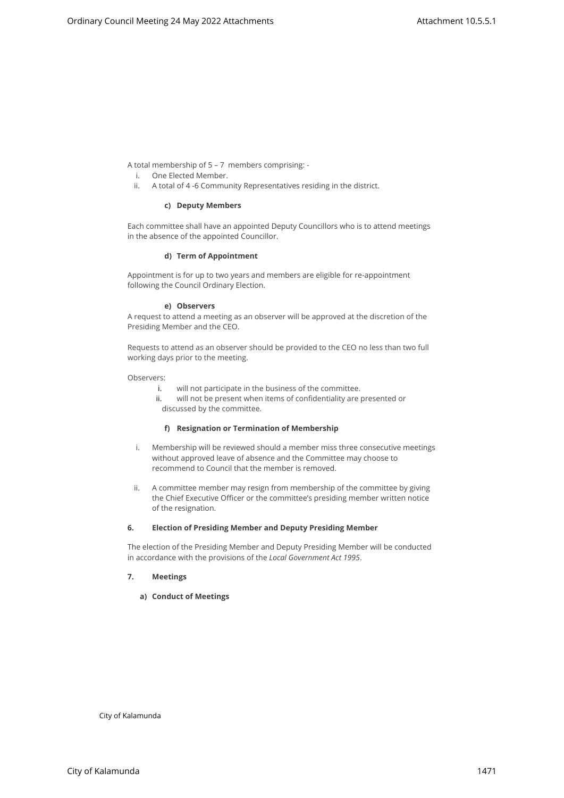A total membership of 5 – 7 members comprising: -

- i. One Elected Member.
- ii. A total of 4 -6 Community Representatives residing in the district.

### **c) Deputy Members**

Each committee shall have an appointed Deputy Councillors who is to attend meetings in the absence of the appointed Councillor.

### **d) Term of Appointment**

Appointment is for up to two years and members are eligible for re-appointment following the Council Ordinary Election.

## **e) Observers**

A request to attend a meeting as an observer will be approved at the discretion of the Presiding Member and the CEO.

Requests to attend as an observer should be provided to the CEO no less than two full working days prior to the meeting.

Observers:

- i. will not participate in the business of the committee.
- ii. will not be present when items of confidentiality are presented or discussed by the committee.

### **f) Resignation or Termination of Membership**

- i. Membership will be reviewed should a member miss three consecutive meetings without approved leave of absence and the Committee may choose to recommend to Council that the member is removed. Another spectral Meeting 24 May 2022 Attachments<br>
Another spectral Companions Companions and City of Kalamunda Ordinary Council Meeting<br>
Council Meeting 24 May 2022 Attachment Depty Council Meeting<br>
Council Meeting at the
	- ii. A committee member may resign from membership of the committee by giving the Chief Executive Officer or the committee's presiding member written notice of the resignation.

## **6. Election of Presiding Member and Deputy Presiding Member**

The election of the Presiding Member and Deputy Presiding Member will be conducted in accordance with the provisions of the *Local Government Act 1995*.

## **7. Meetings**

## **a) Conduct of Meetings**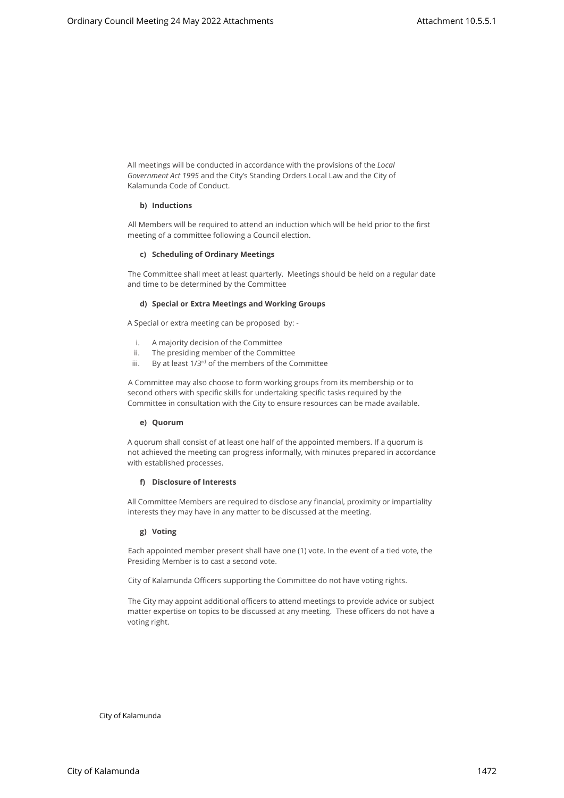All meetings will be conducted in accordance with the provisions of the *Local Government Act 1995* and the City's Standing Orders Local Law and the City of Kalamunda Code of Conduct.

## **b) Inductions**

All Members will be required to attend an induction which will be held prior to the first meeting of a committee following a Council election.

#### **c) Scheduling of Ordinary Meetings**

The Committee shall meet at least quarterly. Meetings should be held on a regular date and time to be determined by the Committee

### **d) Special or Extra Meetings and Working Groups**

A Special or extra meeting can be proposed by: -

- i. A majority decision of the Committee
- ii. The presiding member of the Committee
- iii. By at least 1/3<sup>rd</sup> of the members of the Committee

A Committee may also choose to form working groups from its membership or to second others with specific skills for undertaking specific tasks required by the Committee in consultation with the City to ensure resources can be made available.

#### **e) Quorum**

A quorum shall consist of at least one half of the appointed members. If a quorum is not achieved the meeting can progress informally, with minutes prepared in accordance with established processes. Alternative althous other is a wordered by environment 10.5.5.1<br>
Alternative althous other as a worder of the produce of the produce of the tractional<br>
Council Meeting 24 May 2022 Attachment Council Meeting Council Meeting

#### **f) Disclosure of Interests**

All Committee Members are required to disclose any financial, proximity or impartiality interests they may have in any matter to be discussed at the meeting.

#### **g) Voting**

Each appointed member present shall have one (1) vote. In the event of a tied vote, the Presiding Member is to cast a second vote.

City of Kalamunda Officers supporting the Committee do not have voting rights.

The City may appoint additional officers to attend meetings to provide advice or subject matter expertise on topics to be discussed at any meeting. These officers do not have a voting right.